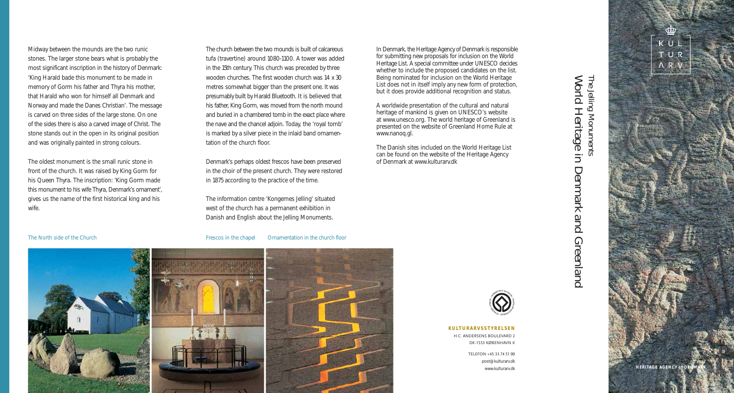Midway between the mounds are the two runic stones. The larger stone bears what is probably the most significant inscription in the history of Denmark: 'King Harald bade this monument to be made in memory of Gorm his father and Thyra his mother, that Harald who won for himself all Denmark and Norway and made the Danes Christian'. The message is carved on three sides of the large stone. On one of the sides there is also a carved image of Christ. The stone stands out in the open in its original position and was originally painted in strong colours.

The oldest monument is the small runic stone in front of the church. It was raised by King Gorm for his Queen Thyra. The inscription: 'King Gorm made this monument to his wife Thyra, Denmark's ornament', gives us the name of the first historical king and his wife.

The church between the two mounds is built of calcareous tufa (travertine) around 1080-1100. A tower was added in the 15th century. This church was preceded by three wooden churches. The first wooden church was 14 x 30 metres somewhat bigger than the present one. It was presumably built by Harald Bluetooth. It is believed that his father, King Gorm, was moved from the north mound and buried in a chambered tomb in the exact place where the nave and the chancel adjoin. Today, the 'royal tomb' is marked by a silver piece in the inlaid band ornamentation of the church floor.

Denmark's perhaps oldest frescos have been preserved in the choir of the present church. They were restored in 1875 according to the practice of the time.

The information centre 'Kongernes Jelling' situated west of the church has a permanent exhibition in Danish and English about the Jelling Monuments.

The North side of the Church Frescos in the chapel Ornamentation in the church floor

In Denmark, the Heritage Agency of Denmark is responsible for submitting new proposals for inclusion on the World Heritage List. A special committee under UNESCO decides whether to include the proposed candidates on the list. Being nominated for inclusion on the World Heritage List does not in itself imply any new form of protection, but it does provide additional recognition and status.

A worldwide presentation of the cultural and natural heritage of mankind is given on UNESCO's website at www.unesco.org. The world heritage of Greenland is presented on the website of Greenland Home Rule at www.nanoq.gl.

The Danish sites included on the World Heritage List can be found on the website of the Heritage Agency of Denmark at www.kulturarv.dk



### **KULTURARVSSTYRELSEN**

H.C. ANDERSENS BOULEVARD 2 DK -1553 KØBENHAVN K

> TELEFON +45 33 74 51 00 post@kulturarv.dk www.kulturarv.dk



# **Morld** The Jelling Monuments World Heritage in Denmark and Greenland The Jelling Monuments **Heritage**  $\equiv$ Denmark and Greenland



 $K$   $U$ TUR ARV